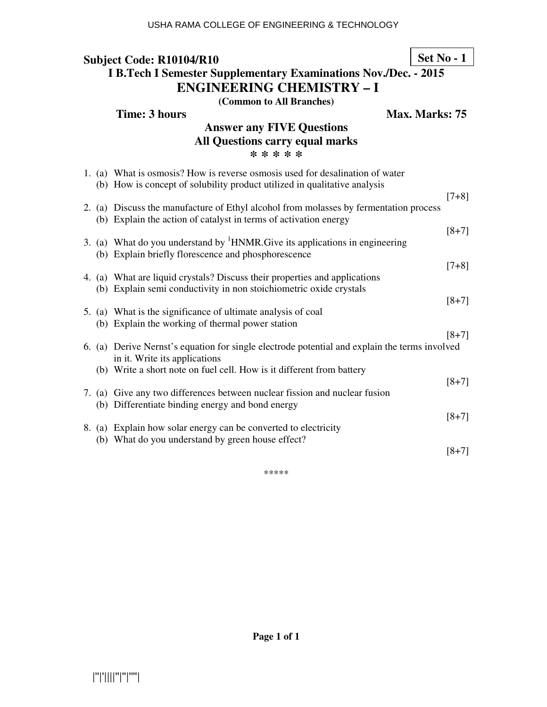# **Subject Code: R10104/R10 I B.Tech I Semester Supplementary Examinations Nov./Dec. - 2015 ENGINEERING CHEMISTRY – I**

**(Common to All Branches)**

**Max. Marks: 75** 

**Set No - 1**

| Time: 3 hours |  |
|---------------|--|
|               |  |

## **Answer any FIVE Questions All Questions carry equal marks \* \* \* \* \***

|  | 1. (a) What is osmosis? How is reverse osmosis used for desalination of water<br>(b) How is concept of solubility product utilized in qualitative analysis |         |
|--|------------------------------------------------------------------------------------------------------------------------------------------------------------|---------|
|  | 2. (a) Discuss the manufacture of Ethyl alcohol from molasses by fermentation process<br>(b) Explain the action of catalyst in terms of activation energy  | $[7+8]$ |
|  | 3. (a) What do you understand by ${}^{1}$ HNMR. Give its applications in engineering<br>(b) Explain briefly florescence and phosphorescence                | $[8+7]$ |
|  | 4. (a) What are liquid crystals? Discuss their properties and applications<br>(b) Explain semi conductivity in non stoichiometric oxide crystals           | $[7+8]$ |
|  | 5. (a) What is the significance of ultimate analysis of coal<br>(b) Explain the working of thermal power station                                           | $[8+7]$ |
|  | 6. (a) Derive Nernst's equation for single electrode potential and explain the terms involved                                                              | $[8+7]$ |
|  | in it. Write its applications<br>(b) Write a short note on fuel cell. How is it different from battery                                                     | $[8+7]$ |
|  | 7. (a) Give any two differences between nuclear fission and nuclear fusion<br>(b) Differentiate binding energy and bond energy                             | $[8+7]$ |
|  | 8. (a) Explain how solar energy can be converted to electricity<br>(b) What do you understand by green house effect?                                       |         |
|  |                                                                                                                                                            | $[8+7]$ |

\*\*\*\*\*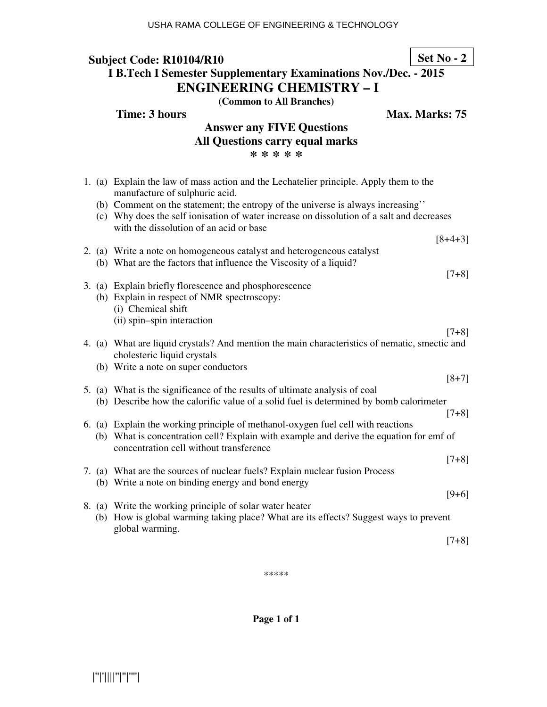#### **Subject Code: R10104/R10 I B.Tech I Semester Supplementary Examinations Nov./Dec. - 2015 ENGINEERING CHEMISTRY – I Set No - 2**

**(Common to All Branches)**

**Time: 3 hours Max. Marks: 75** 

# **Answer any FIVE Questions All Questions carry equal marks \* \* \* \* \***

|  | 1. (a) Explain the law of mass action and the Lechatelier principle. Apply them to the<br>manufacture of sulphuric acid.                                                                                                |           |
|--|-------------------------------------------------------------------------------------------------------------------------------------------------------------------------------------------------------------------------|-----------|
|  | (b) Comment on the statement; the entropy of the universe is always increasing"<br>(c) Why does the self ionisation of water increase on dissolution of a salt and decreases<br>with the dissolution of an acid or base |           |
|  |                                                                                                                                                                                                                         | $[8+4+3]$ |
|  | 2. (a) Write a note on homogeneous catalyst and heterogeneous catalyst<br>(b) What are the factors that influence the Viscosity of a liquid?                                                                            |           |
|  |                                                                                                                                                                                                                         | $[7+8]$   |
|  | 3. (a) Explain briefly florescence and phosphorescence                                                                                                                                                                  |           |
|  | (b) Explain in respect of NMR spectroscopy:                                                                                                                                                                             |           |
|  | (i) Chemical shift                                                                                                                                                                                                      |           |
|  | (ii) spin-spin interaction                                                                                                                                                                                              |           |
|  |                                                                                                                                                                                                                         | $[7+8]$   |
|  | 4. (a) What are liquid crystals? And mention the main characteristics of nematic, smectic and<br>cholesteric liquid crystals                                                                                            |           |
|  | (b) Write a note on super conductors                                                                                                                                                                                    |           |
|  |                                                                                                                                                                                                                         | $[8+7]$   |
|  | 5. (a) What is the significance of the results of ultimate analysis of coal                                                                                                                                             |           |
|  | (b) Describe how the calorific value of a solid fuel is determined by bomb calorimeter                                                                                                                                  |           |
|  |                                                                                                                                                                                                                         | $[7+8]$   |
|  | 6. (a) Explain the working principle of methanol-oxygen fuel cell with reactions                                                                                                                                        |           |
|  | (b) What is concentration cell? Explain with example and derive the equation for emf of<br>concentration cell without transference                                                                                      |           |
|  |                                                                                                                                                                                                                         | $[7+8]$   |
|  | 7. (a) What are the sources of nuclear fuels? Explain nuclear fusion Process                                                                                                                                            |           |
|  | (b) Write a note on binding energy and bond energy                                                                                                                                                                      |           |
|  |                                                                                                                                                                                                                         | $[9+6]$   |
|  | 8. (a) Write the working principle of solar water heater                                                                                                                                                                |           |
|  | (b) How is global warming taking place? What are its effects? Suggest ways to prevent<br>global warming.                                                                                                                |           |
|  |                                                                                                                                                                                                                         | $[7+8]$   |
|  |                                                                                                                                                                                                                         |           |

\*\*\*\*\*

**Page 1 of 1**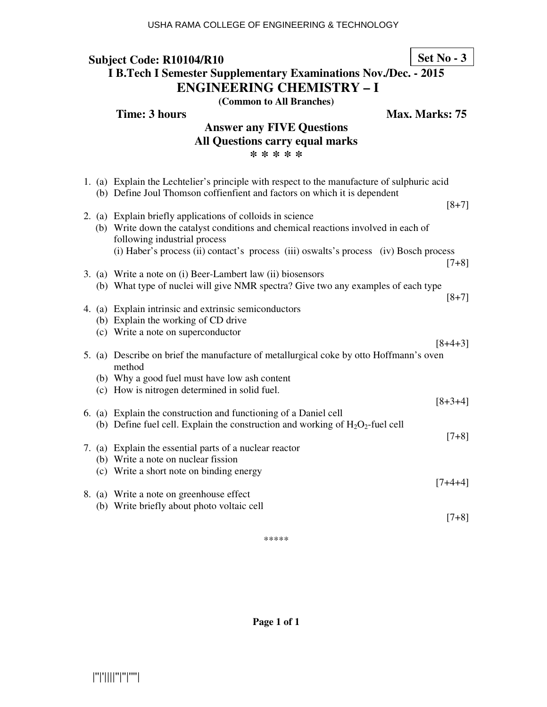#### **Subject Code: R10104/R10 I B.Tech I Semester Supplementary Examinations Nov./Dec. - 2015 ENGINEERING CHEMISTRY – I Set No - 3**

**(Common to All Branches)**

**Time: 3 hours Max. Marks: 75** 

## **Answer any FIVE Questions All Questions carry equal marks \* \* \* \* \***

|  | 1. (a) Explain the Lechtelier's principle with respect to the manufacture of sulphuric acid<br>(b) Define Joul Thomson coffientient and factors on which it is dependent |
|--|--------------------------------------------------------------------------------------------------------------------------------------------------------------------------|
|  | $[8+7]$                                                                                                                                                                  |
|  | 2. (a) Explain briefly applications of colloids in science                                                                                                               |
|  | (b) Write down the catalyst conditions and chemical reactions involved in each of<br>following industrial process                                                        |
|  | (i) Haber's process (ii) contact's process (iii) oswalts's process (iv) Bosch process<br>$[7+8]$                                                                         |
|  | 3. (a) Write a note on (i) Beer-Lambert law (ii) biosensors                                                                                                              |
|  | (b) What type of nuclei will give NMR spectra? Give two any examples of each type<br>$[8+7]$                                                                             |
|  | 4. (a) Explain intrinsic and extrinsic semiconductors                                                                                                                    |
|  | (b) Explain the working of CD drive                                                                                                                                      |
|  | (c) Write a note on superconductor                                                                                                                                       |
|  | $[8+4+3]$                                                                                                                                                                |
|  | 5. (a) Describe on brief the manufacture of metallurgical coke by otto Hoffmann's oven<br>method                                                                         |
|  | (b) Why a good fuel must have low ash content                                                                                                                            |
|  | (c) How is nitrogen determined in solid fuel.                                                                                                                            |
|  | $[8+3+4]$                                                                                                                                                                |
|  | 6. (a) Explain the construction and functioning of a Daniel cell                                                                                                         |
|  | (b) Define fuel cell. Explain the construction and working of $H_2O_2$ -fuel cell                                                                                        |
|  | $[7+8]$                                                                                                                                                                  |
|  | 7. (a) Explain the essential parts of a nuclear reactor                                                                                                                  |
|  | (b) Write a note on nuclear fission                                                                                                                                      |
|  | (c) Write a short note on binding energy                                                                                                                                 |
|  | $[7+4+4]$                                                                                                                                                                |
|  | 8. (a) Write a note on greenhouse effect                                                                                                                                 |
|  | (b) Write briefly about photo voltaic cell                                                                                                                               |
|  | $[7+8]$                                                                                                                                                                  |
|  |                                                                                                                                                                          |

\*\*\*\*\*

**Page 1 of 1**